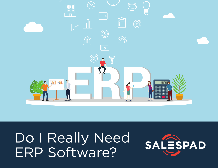

# Do I Really Need ERP Software?

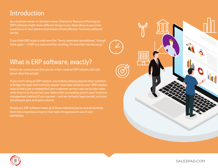### Introduction

As a business owner or decision maker, Enterprise Resource Planning (or ERP) software might mean different things to you, depending on your prior experience or your general impression of how effective "business software" can be.

If you think ERP is just a code word for "fancy, expensive spreadsheet," though, think again — if ERP is a code word for anything, it's more like "secret sauce."

### What is ERP software, exactly?

Before we convince you that you do, in fact, need an ERP solution, let's talk about what that entails.

If you aren't using an ERP solution, you're likely utilizing several other solutions to bridge the gaps that inevitably appear. Examples would be your CRM solution (even if that's just a notepad that your customer service reps use to take notes while they're on the phone), your sales order processing system, your inventory management method (if you use one — and we certainly hope you do), and your warehouse's pick-and-pack solution.

Simply put, ERP software takes all of those individual pieces and streamlines them into a seamless program that takes the guesswork out of your operations.



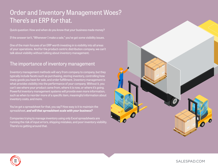# Order and Inventory Management Woes? There's an ERP for that.

Quick question: How and when do you know that your business made money?

If the answer isn't, "Whenever I make a sale," you've got some visibility issues.

One of the main focuses of an ERP worth investing in is visibility into all areas of your operations. And for the product-centric distribution company, we can't talk about visibility without talking about inventory management.

### The importance of inventory management

Inventory management methods will vary from company to company, but they typically include facets such as purchasing, storing inventory, controlling how many goods you have for sale, and order fulfillment. Inventory management is what provides visibility into the performance of your company. Without it, you can't see where your product came from, where it is now, or where it's going. Powerful inventory management systems will provide even more information, such as when to reorder more of a specific item, meaningful information about inventory costs, and more.

You've got a spreadsheet for that, you say? How easy is it to maintain the spreadsheet, *[and will that spreadsheet scale with your business?](https://go.salespad.com/Designing-ERP-Strategy-That-Will-Scale-With-Your-Business)*

Companies trying to manage inventory using only Excel spreadsheets are running the risk of input errors, shipping mistakes, and poor inventory visibility. There's no getting around that.



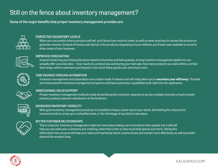## Still on the fence about inventory management?

Some of the major benefits that proper inventory management provides are:



#### PERFECTED INVENTORY LEVELS

 When you can predict when a product will sell, you'll know how much to order, as well as when and how to market the product to generate revenue. Instead of having cash tied up in the products stagnating on your shelves, you'll have cash available to invest in other areas of your business.



#### IMPROVED FORECASTING

 Instead of planning purchasing decisions based on hunches and best guesses, strong inventory management platforms can actually offer accurate data — how much of a product you sold during your last sale, how many products you sold within a certain date range, which customers purchased it, how much these goods cost, and much more.



#### TIME SAVINGS THROUGH AUTOMATION

 Inventory management and automation are a match made in heaven and will really allow you to *[maximize your efficiency](https://www.allbusiness.com/maximize-your-efficiency-by-automating-inventory-12375456-1.html)*. The best and most powerful inventory management programs will have automation capabilities built right into the application.



#### OMNICHANNEL SALES SUPPORT

 Proper inventory management methods make streamlining the customer experience across multiple channels a much simpler process, putting customer satisfaction at the forefront.



#### INCREASED INVENTORY VISIBILITY

 With good inventory management practices, it's possible to keep a closer eye on your stock, diminishing the chances for inventory levels to creep up to unhealthy levels, or for shrinkage of any kind to take place.



#### BETTER CUSTOMER RELATIONSHIPS

 This is a big one. Inventory management might be more about taking care of products than people, but it will still help you see what your customers are ordering, when they order it, how much they spend, and more. Taking this information into account will help your sales and marketing teams communicate and market more effectively, as well as predict demand for product lines.

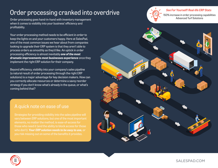### Order processing cranked into overdrive

Order processing goes hand-in-hand with inventory management when it comes to visibility into your business' efficiency and profitability.

Your order processing method needs to be efficient in order to keep the lights on and your customers happy. Here at SalesPad, one of the most common issues we hear about from companies looking to upgrade their ERP system is that they aren't able to process orders as smoothly as they'd like. An uptick in order processing efficiency is almost inevitably *[one of the most](https://www.salespad.com/case-studies/blenderbottle/)  [dramatic improvements most businesses experience](https://www.salespad.com/case-studies/blenderbottle/)* once they implement the right ERP solution for their company.

Beyond efficiency, visibility into your company's sales pipeline (a natural result of order processing through the right ERP solutions) is a major advantage for key decision makers. How can you correctly allocate resources or determine a savvy reorder strategy if you don't know what's already in the queue, or what's coming behind that?



who don't). *[Your ERP solution needs to be easy to use,](https://www.salespad.com/blog/why-your-erp-software-needs-to-be-easy-to-use/)* or



#### *[See For Yourself! Real-life ERP Stats](https://www.salespad.com/case-studies/advanced-turf-solutions/)*

150% increase in order processing capabilities Advanced Turf Solutions



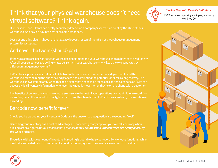# Think that your physical warehouse doesn't need virtual software? Think again.

Our seasoned consultants can pretty accurately determine a company's sorest pain point by the state of their warehouse. And boy, oh boy, have we seen some whoppers.

Let's get one thing clear right out of the gate: a clipboard (or ten of them) is not a warehouse management system. It's a stopgap.

### And never the twain (should) part

If there's a software barrier between your sales department and your warehouse, that's a barrier to productivity. After all, your sales reps are selling what's currently in your warehouse — why keep the two separated by different management systems?

ERP software provides an invaluable link between the sales and customer service departments and the warehouse, streamlining the entire selling process and eliminating the potential for errors along the way. The warehouse knows immediately when there's an order that needs to be taken care of, and sales reps or CSRs can access critical inventory information whenever they need it — even when they're on the phone with a customer.

The benefits of connecting your warehouse so closely to the rest of your operations are manifold — *[we could go](https://go.salespad.com/7-signs-inventory-management-ebook-0?Product_Line_s=Desktop)  [on and on,](https://go.salespad.com/7-signs-inventory-management-ebook-0?Product_Line_s=Desktop)* but in the interest of brevity, let's turn to another benefit that ERP software can bring to a warehouse: barcoding.

### Barcode now, benefit forever

Should you be barcoding your inventory? Odds are, the answer to that question is a resounding "Yes!"

Barcoding your inventory has a host of advantages — barcodes greatly improve your overall accuracy when fulfilling orders, tighten up your stock count practices (*[stock counts using ERP software are pretty great, by](https://www.salespad.com/blog/barcoding-warehouse-increases-efficiency-and-accuracy/)  [the way](https://www.salespad.com/blog/barcoding-warehouse-increases-efficiency-and-accuracy/)*), and more.

If you deal with a large amount of inventory, barcoding is bound to help your overall warehouse functions. While it will take some dedication to implement a good barcoding system, the results are well worth the effort.







*[See For Yourself! Real-life ERP Stats](https://www.salespad.com/case-studies/hoy-shoe-co/)* 100% increase in picking / shipping accuracy Hoy Shoe Co.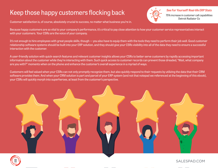## Keep those happy customers flocking back [See For Yourself! Real-life ERP Stats](https://www.salespad.com/case-studies/detroit-radiator/)



75% increase in customer call capabilities Detroit Radiator Co

Customer satisfaction is, of course, absolutely crucial to success, no matter what business you're in.

Because happy customers are so vital to your company's performance, it's critical to pay close attention to how your customer service representatives interact with your customers. Your CSRs are the voice of your company.

It's not enough to hire employees with great people skills, though — you also have to equip them with the tools they need to perform their job well. Good customer relationship software systems should be built into your ERP solution, and they should give your CSRs visibility into all of the data they need to ensure a successful interaction with the customer.

A user-friendly solution with quick-search features and relevant customer insights allows your CSRs to better serve customers by rapidly accessing important information about the customer while they're interacting with them. Such quick access to customer records can prevent those dreaded, "Wait, what company are you with?" moments when on the phone and enhance the customer's overall experience in a myriad of ways.

Customers will feel valued when your CSRs can not only promptly recognize them, but also quickly respond to their requests by utilizing the data that their CRM software provides them. And when your CRM solution is part and parcel of your ERP system (and not that notepad we referenced at the beginning of this ebook), your CSRs will quickly morph into superheroes, at least from the customer's perspective.



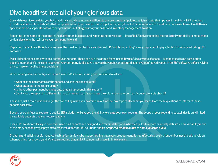### Dive headfirst into all of your glorious data

Spreadsheets give you data, yes, but that data is usually annoyingly difficult to uncover and manipulate, and it isn't data that updates in real time. ERP solutions provide vast amounts of datasets that do update in real time, have no risk of input error, and, if the ERP solution is worth its salt, are far easier to work with than a spreadsheet or a separate software program that isn't plugged into your order and inventory management solution.

Reporting is the name of the game in the distribution business, and reporting requires data — lots of it. Effective reporting methods fuel your ability to make those critical decisions that will drive your company forward.

Reporting capabilities, though, are some of the most varied factors in individual ERP solutions, so they're very important to pay attention to when evaluating ERP software.

Most ERP solutions come with pre-configured reports. These can run the gamut from incredibly useful to a waste of space — just because it's an easy option doesn't mean that it's the right report for your company. Make sure that you thoroughly understand each pre-configured report in an ERP software before relying on it to make critical business decisions.

When looking at a pre-configured report in an ERP solution, some good questions to ask are:

- What are the parameters of the report, and can they be adjusted?
- What datasets is the report using?
- Is there other pertinent business data that isn't present in this report?
- Can I view the report in a different format, if needed (can I rearrange the columns or rows, or can I convert to a pie chart)?

These are just a few questions to get the ball rolling when you examine an out-of-the-box report. Use what you learn from these questions to interpret these reports correctly.

Beyond pre-configured reports, a quality ERP solution will give you the ability to create your own reports. The scope of your reporting capabilities is only limited by available datasets and your own creativity.

Every ERP solution will vary in how their user-built reports are designed and manipulated, and in how easy it is to create or modify datasets. This variability is one of the many reasons why it pays off to research different ERP solutions and *[be prepared when it's time to demo your top picks](https://www.salespad.com/blog/how-to-prepare-for-your-erp-demo/).*

Creating and utilizing useful reports is a bit of an art form, but it's something that every product-centric manufacturing or distribution business needs to rely on when pushing for growth, and it's also something that an ERP solution will make infinitely easier.